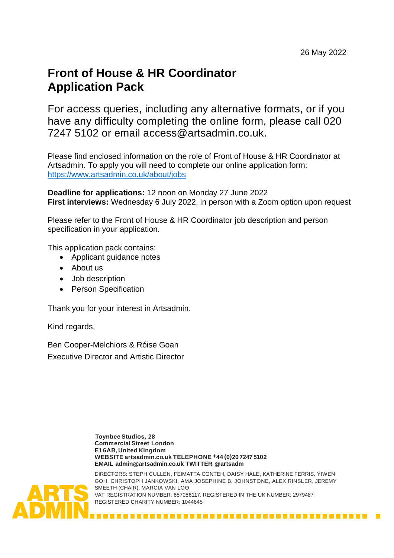# **Front of House & HR Coordinator Application Pack**

For access queries, including any alternative formats, or if you have any difficulty completing the online form, please call 020 7247 5102 or email access@artsadmin.co.uk.

Please find enclosed information on the role of Front of House & HR Coordinator at Artsadmin. To apply you will need to complete our online application form: <https://www.artsadmin.co.uk/about/jobs>

**Deadline for applications:** 12 noon on Monday 27 June 2022 **First interviews:** Wednesday 6 July 2022, in person with a Zoom option upon request

Please refer to the Front of House & HR Coordinator job description and person specification in your application.

This application pack contains:

- Applicant guidance notes
- About us
- Job description
- Person Specification

Thank you for your interest in Artsadmin.

Kind regards,

Ben Cooper-Melchiors & Róise Goan Executive Director and Artistic Director

> **Toynbee Studios, 28 CommercialStreet London E1 6AB, United Kingdom WEBSITE artsadmin.co.uk TELEPHONE +44 (0)207247 5102 EMAIL [admin@artsadmin.co.uk T](mailto:admin@artsadmin.co.uk)WITTER @artsadm**



DIRECTORS: STEPH CULLEN, FEIMATTA CONTEH, DAISY HALE, KATHERINE FERRIS, YIWEN GOH, CHRISTOPH JANKOWSKI, AMA JOSEPHINE B. JOHNSTONE, ALEX RINSLER, JEREMY SMEETH (CHAIR), MARCIA VAN LOO VAT REGISTRATION NUMBER: 657086117. REGISTERED IN THE UK NUMBER: 2979487. REGISTERED CHARITY NUMBER: 1044645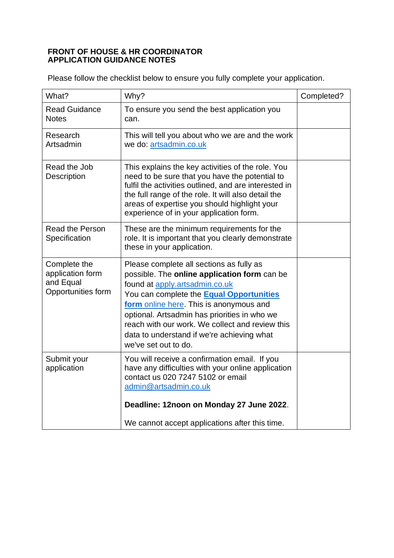#### **FRONT OF HOUSE & HR COORDINATOR APPLICATION GUIDANCE NOTES**

Please follow the checklist below to ensure you fully complete your application.

| What?                                                               | Why?                                                                                                                                                                                                                                                                                                                                                                                              | Completed? |
|---------------------------------------------------------------------|---------------------------------------------------------------------------------------------------------------------------------------------------------------------------------------------------------------------------------------------------------------------------------------------------------------------------------------------------------------------------------------------------|------------|
| <b>Read Guidance</b><br><b>Notes</b>                                | To ensure you send the best application you<br>can.                                                                                                                                                                                                                                                                                                                                               |            |
| Research<br>Artsadmin                                               | This will tell you about who we are and the work<br>we do: artsadmin.co.uk                                                                                                                                                                                                                                                                                                                        |            |
| Read the Job<br>Description                                         | This explains the key activities of the role. You<br>need to be sure that you have the potential to<br>fulfil the activities outlined, and are interested in<br>the full range of the role. It will also detail the<br>areas of expertise you should highlight your<br>experience of in your application form.                                                                                    |            |
| <b>Read the Person</b><br>Specification                             | These are the minimum requirements for the<br>role. It is important that you clearly demonstrate<br>these in your application.                                                                                                                                                                                                                                                                    |            |
| Complete the<br>application form<br>and Equal<br>Opportunities form | Please complete all sections as fully as<br>possible. The online application form can be<br>found at apply.artsadmin.co.uk<br>You can complete the <b>Equal Opportunities</b><br>form online here. This is anonymous and<br>optional. Artsadmin has priorities in who we<br>reach with our work. We collect and review this<br>data to understand if we're achieving what<br>we've set out to do. |            |
| Submit your<br>application                                          | You will receive a confirmation email. If you<br>have any difficulties with your online application<br>contact us 020 7247 5102 or email<br>admin@artsadmin.co.uk                                                                                                                                                                                                                                 |            |
|                                                                     | Deadline: 12noon on Monday 27 June 2022.                                                                                                                                                                                                                                                                                                                                                          |            |
|                                                                     | We cannot accept applications after this time.                                                                                                                                                                                                                                                                                                                                                    |            |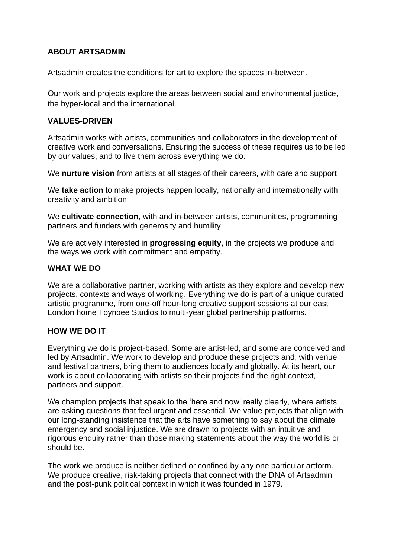# **ABOUT ARTSADMIN**

Artsadmin creates the conditions for art to explore the spaces in-between.

Our work and projects explore the areas between social and environmental justice, the hyper-local and the international.

# **VALUES-DRIVEN**

Artsadmin works with artists, communities and collaborators in the development of creative work and conversations. Ensuring the success of these requires us to be led by our values, and to live them across everything we do.

We **nurture vision** from artists at all stages of their careers, with care and support

We **take action** to make projects happen locally, nationally and internationally with creativity and ambition

We **cultivate connection**, with and in-between artists, communities, programming partners and funders with generosity and humility

We are actively interested in **progressing equity**, in the projects we produce and the ways we work with commitment and empathy.

# **WHAT WE DO**

We are a collaborative partner, working with artists as they explore and develop new projects, contexts and ways of working. Everything we do is part of a unique curated artistic programme, from one-off hour-long creative support sessions at our east London home Toynbee Studios to multi-year global partnership platforms.

# **HOW WE DO IT**

Everything we do is project-based. Some are artist-led, and some are conceived and led by Artsadmin. We work to develop and produce these projects and, with venue and festival partners, bring them to audiences locally and globally. At its heart, our work is about collaborating with artists so their projects find the right context. partners and support.

We champion projects that speak to the 'here and now' really clearly, where artists are asking questions that feel urgent and essential. We value projects that align with our long-standing insistence that the arts have something to say about the climate emergency and social injustice. We are drawn to projects with an intuitive and rigorous enquiry rather than those making statements about the way the world is or should be.

The work we produce is neither defined or confined by any one particular artform. We produce creative, risk-taking projects that connect with the DNA of Artsadmin and the post-punk political context in which it was founded in 1979.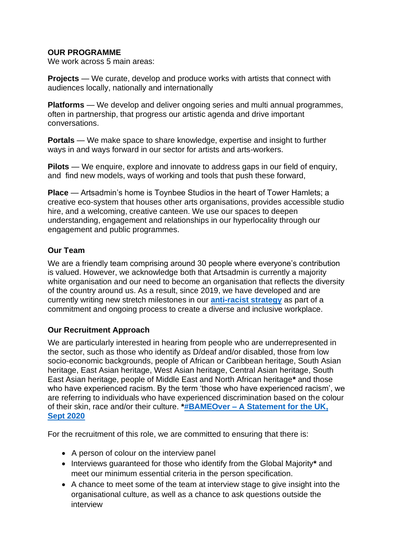# **OUR PROGRAMME**

We work across 5 main areas:

**Projects** — We curate, develop and produce works with artists that connect with audiences locally, nationally and internationally

**Platforms** — We develop and deliver ongoing series and multi annual programmes, often in partnership, that progress our artistic agenda and drive important conversations.

**Portals** — We make space to share knowledge, expertise and insight to further ways in and ways forward in our sector for artists and arts-workers.

**Pilots** — We enquire, explore and innovate to address gaps in our field of enquiry, and find new models, ways of working and tools that push these forward,

**Place** — Artsadmin's home is Toynbee Studios in the heart of Tower Hamlets; a creative eco-system that houses other arts organisations, provides accessible studio hire, and a welcoming, creative canteen. We use our spaces to deepen understanding, engagement and relationships in our hyperlocality through our engagement and public programmes.

# **Our Team**

We are a friendly team comprising around 30 people where everyone's contribution is valued. However, we acknowledge both that Artsadmin is currently a majority white organisation and our need to become an organisation that reflects the diversity of the country around us. As a result, since 2019, we have developed and are currently writing new stretch milestones in our **[anti-racist strategy](https://www.artsadmin.co.uk/about/our-policies/anti-racism-policy/)** as part of a commitment and ongoing process to create a diverse and inclusive workplace.

# **Our Recruitment Approach**

We are particularly interested in hearing from people who are underrepresented in the sector, such as those who identify as D/deaf and/or disabled, those from low socio-economic backgrounds, people of African or Caribbean heritage, South Asian heritage, East Asian heritage, West Asian heritage, Central Asian heritage, South East Asian heritage, people of Middle East and North African heritage**\*** and those who have experienced racism. By the term 'those who have experienced racism', we are referring to individuals who have experienced discrimination based on the colour of their skin, race and/or their culture. **\*#BAMEOver – [A Statement for the UK,](mailto:https://docs.google.com/document/d/e/2PACX-1vQkg5IIoeAqMjMF6VW-eIEtEUEgK3GLudW1meE2DILbJPZYPiP0dO3Qwx6YVxBFxOhI1KEp5swpok80/pub)  [Sept 2020](mailto:https://docs.google.com/document/d/e/2PACX-1vQkg5IIoeAqMjMF6VW-eIEtEUEgK3GLudW1meE2DILbJPZYPiP0dO3Qwx6YVxBFxOhI1KEp5swpok80/pub)**

For the recruitment of this role, we are committed to ensuring that there is:

- A person of colour on the interview panel
- Interviews guaranteed for those who identify from the Global Majority**\*** and meet our minimum essential criteria in the person specification.
- A chance to meet some of the team at interview stage to give insight into the organisational culture, as well as a chance to ask questions outside the interview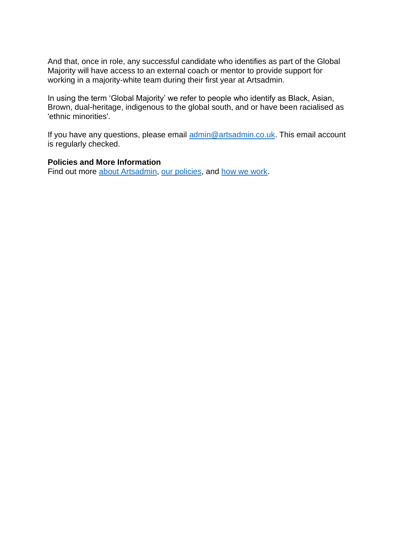And that, once in role, any successful candidate who identifies as part of the Global Majority will have access to an external coach or mentor to provide support for working in a majority-white team during their first year at Artsadmin.

In using the term 'Global Majority' we refer to people who identify as Black, Asian, Brown, dual-heritage, indigenous to the global south, and or have been racialised as 'ethnic minorities'.

If you have any questions, please email [admin@artsadmin.co.uk.](mailto:admin@artsadmin.co.uk) This email account is regularly checked.

#### **Policies and More Information**

Find out more [about Artsadmin,](https://www.artsadmin.co.uk/about/) [our policies,](https://www.artsadmin.co.uk/about/our-policies/) and [how we work.](https://www.artsadmin.co.uk/about/how-we-work/)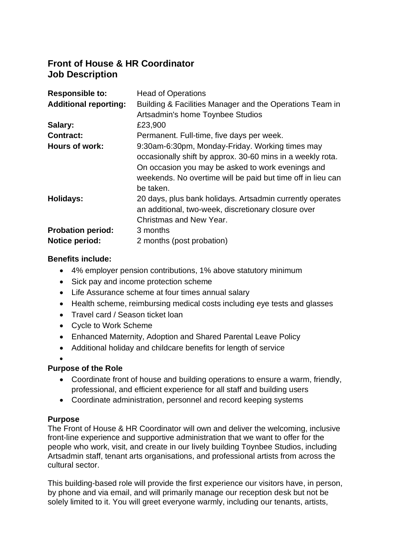# **Front of House & HR Coordinator Job Description**

| <b>Responsible to:</b>       | <b>Head of Operations</b>                                   |
|------------------------------|-------------------------------------------------------------|
| <b>Additional reporting:</b> | Building & Facilities Manager and the Operations Team in    |
|                              | Artsadmin's home Toynbee Studios                            |
| Salary:                      | £23,900                                                     |
| <b>Contract:</b>             | Permanent. Full-time, five days per week.                   |
| Hours of work:               | 9:30am-6:30pm, Monday-Friday. Working times may             |
|                              | occasionally shift by approx. 30-60 mins in a weekly rota.  |
|                              | On occasion you may be asked to work evenings and           |
|                              | weekends. No overtime will be paid but time off in lieu can |
|                              | be taken.                                                   |
| <b>Holidays:</b>             | 20 days, plus bank holidays. Artsadmin currently operates   |
|                              | an additional, two-week, discretionary closure over         |
|                              | Christmas and New Year.                                     |
| <b>Probation period:</b>     | 3 months                                                    |
| <b>Notice period:</b>        | 2 months (post probation)                                   |

# **Benefits include:**

- 4% employer pension contributions, 1% above statutory minimum
- Sick pay and income protection scheme
- Life Assurance scheme at four times annual salary
- Health scheme, reimbursing medical costs including eye tests and glasses
- Travel card / Season ticket loan
- Cycle to Work Scheme
- Enhanced Maternity, Adoption and Shared Parental Leave Policy
- Additional holiday and childcare benefits for length of service
- •

# **Purpose of the Role**

- Coordinate front of house and building operations to ensure a warm, friendly, professional, and efficient experience for all staff and building users
- Coordinate administration, personnel and record keeping systems

#### **Purpose**

The Front of House & HR Coordinator will own and deliver the welcoming, inclusive front-line experience and supportive administration that we want to offer for the people who work, visit, and create in our lively building Toynbee Studios, including Artsadmin staff, tenant arts organisations, and professional artists from across the cultural sector.

This building-based role will provide the first experience our visitors have, in person, by phone and via email, and will primarily manage our reception desk but not be solely limited to it. You will greet everyone warmly, including our tenants, artists,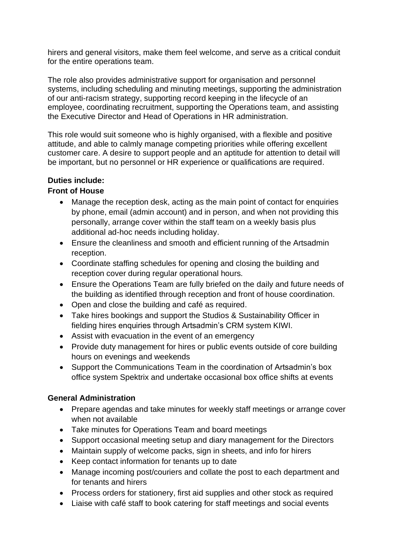hirers and general visitors, make them feel welcome, and serve as a critical conduit for the entire operations team.

The role also provides administrative support for organisation and personnel systems, including scheduling and minuting meetings, supporting the administration of our anti-racism strategy, supporting record keeping in the lifecycle of an employee, coordinating recruitment, supporting the Operations team, and assisting the Executive Director and Head of Operations in HR administration.

This role would suit someone who is highly organised, with a flexible and positive attitude, and able to calmly manage competing priorities while offering excellent customer care. A desire to support people and an aptitude for attention to detail will be important, but no personnel or HR experience or qualifications are required.

# **Duties include:**

# **Front of House**

- Manage the reception desk, acting as the main point of contact for enquiries by phone, email (admin account) and in person, and when not providing this personally, arrange cover within the staff team on a weekly basis plus additional ad-hoc needs including holiday.
- Ensure the cleanliness and smooth and efficient running of the Artsadmin reception.
- Coordinate staffing schedules for opening and closing the building and reception cover during regular operational hours.
- Ensure the Operations Team are fully briefed on the daily and future needs of the building as identified through reception and front of house coordination.
- Open and close the building and café as required.
- Take hires bookings and support the Studios & Sustainability Officer in fielding hires enquiries through Artsadmin's CRM system KIWI.
- Assist with evacuation in the event of an emergency
- Provide duty management for hires or public events outside of core building hours on evenings and weekends
- Support the Communications Team in the coordination of Artsadmin's box office system Spektrix and undertake occasional box office shifts at events

# **General Administration**

- Prepare agendas and take minutes for weekly staff meetings or arrange cover when not available
- Take minutes for Operations Team and board meetings
- Support occasional meeting setup and diary management for the Directors
- Maintain supply of welcome packs, sign in sheets, and info for hirers
- Keep contact information for tenants up to date
- Manage incoming post/couriers and collate the post to each department and for tenants and hirers
- Process orders for stationery, first aid supplies and other stock as required
- Liaise with café staff to book catering for staff meetings and social events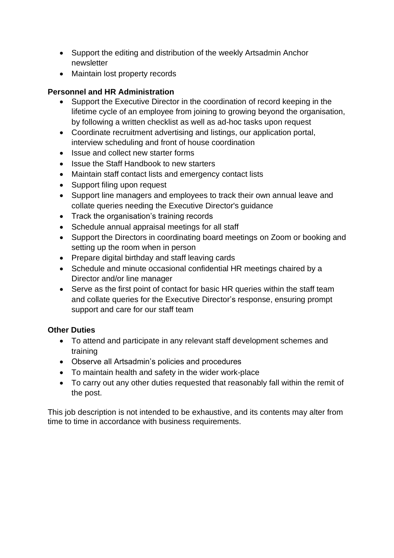- Support the editing and distribution of the weekly Artsadmin Anchor newsletter
- Maintain lost property records

# **Personnel and HR Administration**

- Support the Executive Director in the coordination of record keeping in the lifetime cycle of an employee from joining to growing beyond the organisation, by following a written checklist as well as ad-hoc tasks upon request
- Coordinate recruitment advertising and listings, our application portal, interview scheduling and front of house coordination
- Issue and collect new starter forms
- Issue the Staff Handbook to new starters
- Maintain staff contact lists and emergency contact lists
- Support filing upon request
- Support line managers and employees to track their own annual leave and collate queries needing the Executive Director's guidance
- Track the organisation's training records
- Schedule annual appraisal meetings for all staff
- Support the Directors in coordinating board meetings on Zoom or booking and setting up the room when in person
- Prepare digital birthday and staff leaving cards
- Schedule and minute occasional confidential HR meetings chaired by a Director and/or line manager
- Serve as the first point of contact for basic HR queries within the staff team and collate queries for the Executive Director's response, ensuring prompt support and care for our staff team

# **Other Duties**

- To attend and participate in any relevant staff development schemes and training
- Observe all Artsadmin's policies and procedures
- To maintain health and safety in the wider work-place
- To carry out any other duties requested that reasonably fall within the remit of the post.

This job description is not intended to be exhaustive, and its contents may alter from time to time in accordance with business requirements.